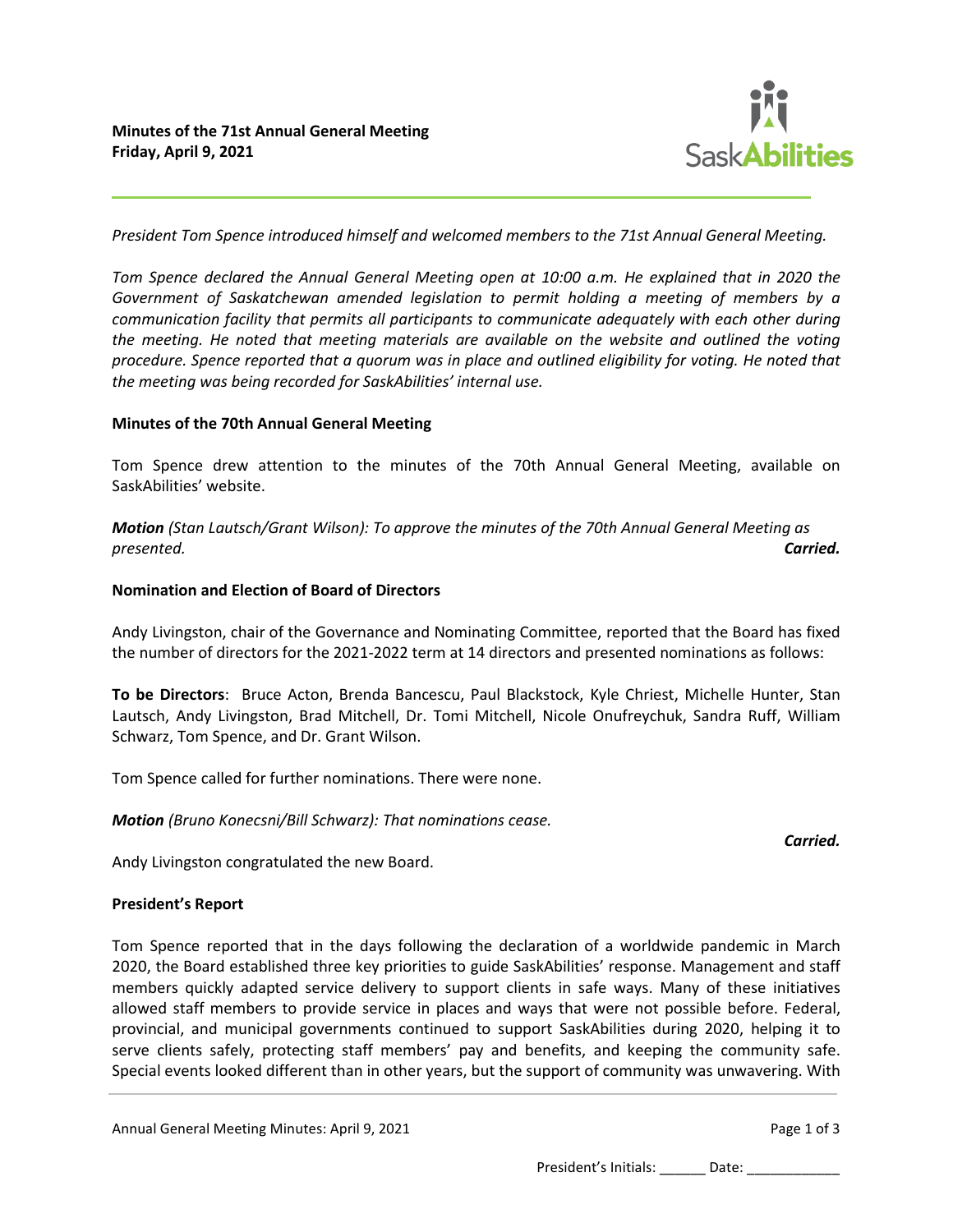

*President Tom Spence introduced himself and welcomed members to the 71st Annual General Meeting.*

*Tom Spence declared the Annual General Meeting open at 10:00 a.m. He explained that in 2020 the Government of Saskatchewan amended legislation to permit holding a meeting of members by a communication facility that permits all participants to communicate adequately with each other during the meeting. He noted that meeting materials are available on the website and outlined the voting procedure. Spence reported that a quorum was in place and outlined eligibility for voting. He noted that the meeting was being recorded for SaskAbilities' internal use.*

#### **Minutes of the 70th Annual General Meeting**

Tom Spence drew attention to the minutes of the 70th Annual General Meeting, available on SaskAbilities' website.

*Motion (Stan Lautsch/Grant Wilson): To approve the minutes of the 70th Annual General Meeting as presented. Carried.*

#### **Nomination and Election of Board of Directors**

Andy Livingston, chair of the Governance and Nominating Committee, reported that the Board has fixed the number of directors for the 2021-2022 term at 14 directors and presented nominations as follows:

**To be Directors**: Bruce Acton, Brenda Bancescu, Paul Blackstock, Kyle Chriest, Michelle Hunter, Stan Lautsch, Andy Livingston, Brad Mitchell, Dr. Tomi Mitchell, Nicole Onufreychuk, Sandra Ruff, William Schwarz, Tom Spence, and Dr. Grant Wilson.

Tom Spence called for further nominations. There were none.

*Motion (Bruno Konecsni/Bill Schwarz): That nominations cease.*

*Carried.*

Andy Livingston congratulated the new Board.

## **President's Report**

Tom Spence reported that in the days following the declaration of a worldwide pandemic in March 2020, the Board established three key priorities to guide SaskAbilities' response. Management and staff members quickly adapted service delivery to support clients in safe ways. Many of these initiatives allowed staff members to provide service in places and ways that were not possible before. Federal, provincial, and municipal governments continued to support SaskAbilities during 2020, helping it to serve clients safely, protecting staff members' pay and benefits, and keeping the community safe. Special events looked different than in other years, but the support of community was unwavering. With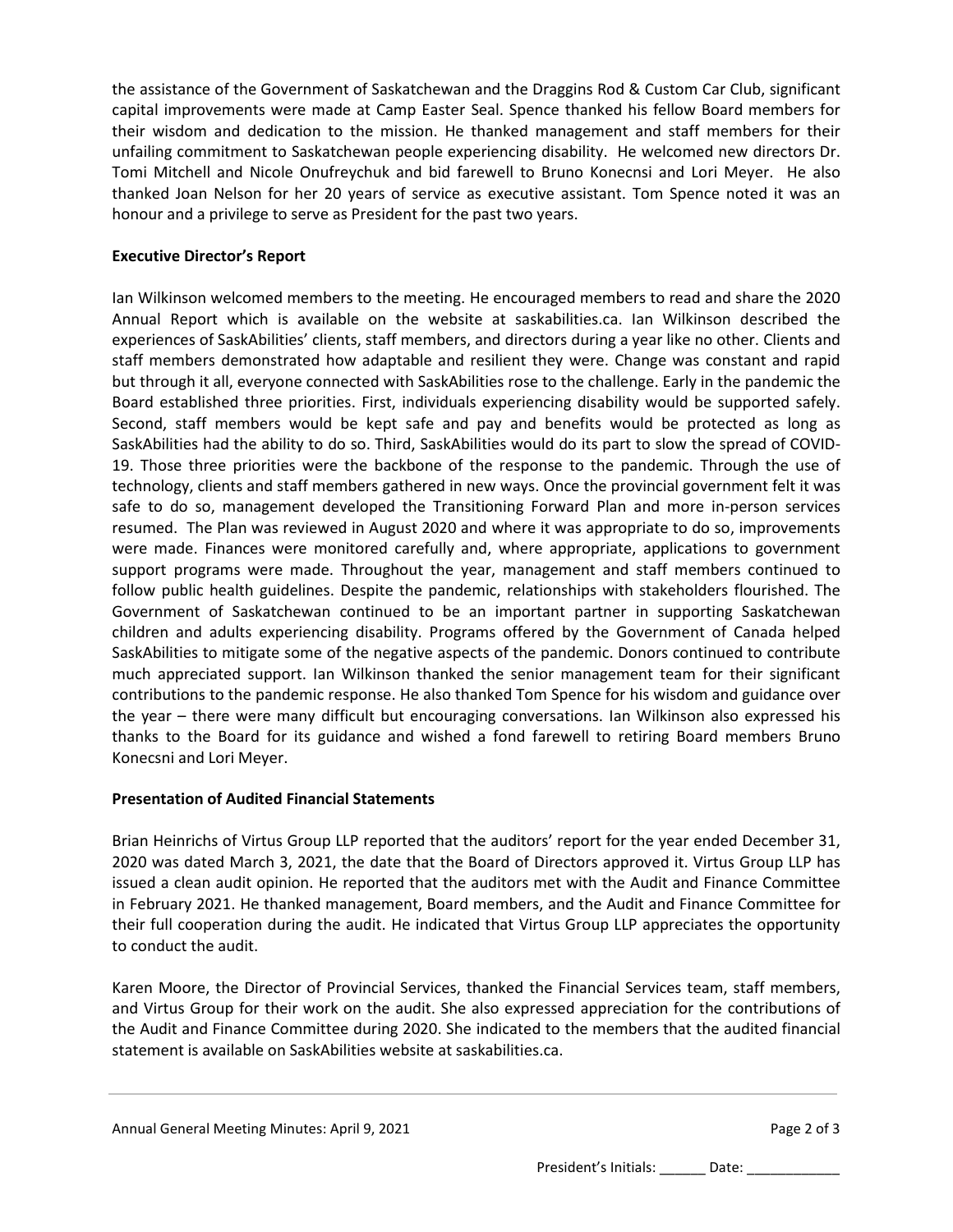the assistance of the Government of Saskatchewan and the Draggins Rod & Custom Car Club, significant capital improvements were made at Camp Easter Seal. Spence thanked his fellow Board members for their wisdom and dedication to the mission. He thanked management and staff members for their unfailing commitment to Saskatchewan people experiencing disability. He welcomed new directors Dr. Tomi Mitchell and Nicole Onufreychuk and bid farewell to Bruno Konecnsi and Lori Meyer. He also thanked Joan Nelson for her 20 years of service as executive assistant. Tom Spence noted it was an honour and a privilege to serve as President for the past two years.

# **Executive Director's Report**

Ian Wilkinson welcomed members to the meeting. He encouraged members to read and share the 2020 Annual Report which is available on the website at saskabilities.ca. Ian Wilkinson described the experiences of SaskAbilities' clients, staff members, and directors during a year like no other. Clients and staff members demonstrated how adaptable and resilient they were. Change was constant and rapid but through it all, everyone connected with SaskAbilities rose to the challenge. Early in the pandemic the Board established three priorities. First, individuals experiencing disability would be supported safely. Second, staff members would be kept safe and pay and benefits would be protected as long as SaskAbilities had the ability to do so. Third, SaskAbilities would do its part to slow the spread of COVID-19. Those three priorities were the backbone of the response to the pandemic. Through the use of technology, clients and staff members gathered in new ways. Once the provincial government felt it was safe to do so, management developed the Transitioning Forward Plan and more in-person services resumed. The Plan was reviewed in August 2020 and where it was appropriate to do so, improvements were made. Finances were monitored carefully and, where appropriate, applications to government support programs were made. Throughout the year, management and staff members continued to follow public health guidelines. Despite the pandemic, relationships with stakeholders flourished. The Government of Saskatchewan continued to be an important partner in supporting Saskatchewan children and adults experiencing disability. Programs offered by the Government of Canada helped SaskAbilities to mitigate some of the negative aspects of the pandemic. Donors continued to contribute much appreciated support. Ian Wilkinson thanked the senior management team for their significant contributions to the pandemic response. He also thanked Tom Spence for his wisdom and guidance over the year – there were many difficult but encouraging conversations. Ian Wilkinson also expressed his thanks to the Board for its guidance and wished a fond farewell to retiring Board members Bruno Konecsni and Lori Meyer.

## **Presentation of Audited Financial Statements**

Brian Heinrichs of Virtus Group LLP reported that the auditors' report for the year ended December 31, 2020 was dated March 3, 2021, the date that the Board of Directors approved it. Virtus Group LLP has issued a clean audit opinion. He reported that the auditors met with the Audit and Finance Committee in February 2021. He thanked management, Board members, and the Audit and Finance Committee for their full cooperation during the audit. He indicated that Virtus Group LLP appreciates the opportunity to conduct the audit.

Karen Moore, the Director of Provincial Services, thanked the Financial Services team, staff members, and Virtus Group for their work on the audit. She also expressed appreciation for the contributions of the Audit and Finance Committee during 2020. She indicated to the members that the audited financial statement is available on SaskAbilities website at saskabilities.ca.